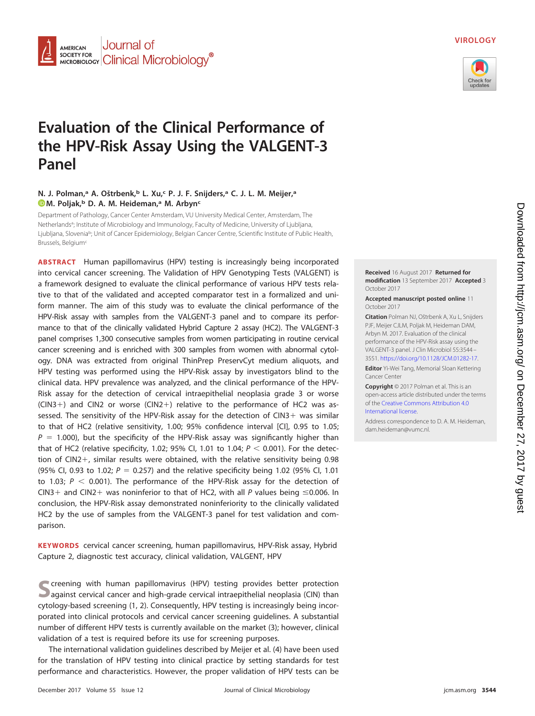

## **VIROLOGY**



# **Evaluation of the Clinical Performance of the HPV-Risk Assay Using the VALGENT-3 Panel**

## **N. J. Polman,<sup>a</sup> A. Oštrbenk,<sup>b</sup> L. Xu,<sup>c</sup> P. J. F. Snijders,<sup>a</sup> C. J. L. M. Meijer,<sup>a</sup> [M. Poljak,](http://orcid.org/0000-0002-3216-7564)b D. A. M. Heideman,a M. Arbync**

Department of Pathology, Cancer Center Amsterdam, VU University Medical Center, Amsterdam, The Netherlands<sup>a</sup>; Institute of Microbiology and Immunology, Faculty of Medicine, University of Ljubljana, Ljubljana, Slovenia<sup>b</sup>; Unit of Cancer Epidemiology, Belgian Cancer Centre, Scientific Institute of Public Health, Brussels, Belgium<sup>c</sup>

**ABSTRACT** Human papillomavirus (HPV) testing is increasingly being incorporated into cervical cancer screening. The Validation of HPV Genotyping Tests (VALGENT) is a framework designed to evaluate the clinical performance of various HPV tests relative to that of the validated and accepted comparator test in a formalized and uniform manner. The aim of this study was to evaluate the clinical performance of the HPV-Risk assay with samples from the VALGENT-3 panel and to compare its performance to that of the clinically validated Hybrid Capture 2 assay (HC2). The VALGENT-3 panel comprises 1,300 consecutive samples from women participating in routine cervical cancer screening and is enriched with 300 samples from women with abnormal cytology. DNA was extracted from original ThinPrep PreservCyt medium aliquots, and HPV testing was performed using the HPV-Risk assay by investigators blind to the clinical data. HPV prevalence was analyzed, and the clinical performance of the HPV-Risk assay for the detection of cervical intraepithelial neoplasia grade 3 or worse  $(CIN3+)$  and CIN2 or worse  $(CIN2+)$  relative to the performance of HC2 was assessed. The sensitivity of the HPV-Risk assay for the detection of  $CIN3+$  was similar to that of HC2 (relative sensitivity, 1.00; 95% confidence interval [CI], 0.95 to 1.05;  $P = 1.000$ ), but the specificity of the HPV-Risk assay was significantly higher than that of HC2 (relative specificity, 1.02; 95% CI, 1.01 to 1.04;  $P < 0.001$ ). For the detection of CIN2-, similar results were obtained, with the relative sensitivity being 0.98 (95% CI, 0.93 to 1.02;  $P = 0.257$ ) and the relative specificity being 1.02 (95% CI, 1.01 to 1.03;  $P < 0.001$ ). The performance of the HPV-Risk assay for the detection of CIN3+ and CIN2+ was noninferior to that of HC2, with all P values being  $\leq$ 0.006. In conclusion, the HPV-Risk assay demonstrated noninferiority to the clinically validated HC2 by the use of samples from the VALGENT-3 panel for test validation and comparison.

**KEYWORDS** cervical cancer screening, human papillomavirus, HPV-Risk assay, Hybrid Capture 2, diagnostic test accuracy, clinical validation, VALGENT, HPV

**S**creening with human papillomavirus (HPV) testing provides better protection against cervical cancer and high-grade cervical intraepithelial neoplasia (CIN) than cytology-based screening [\(1,](#page-6-0) [2\)](#page-6-1). Consequently, HPV testing is increasingly being incorporated into clinical protocols and cervical cancer screening guidelines. A substantial number of different HPV tests is currently available on the market [\(3\)](#page-6-2); however, clinical validation of a test is required before its use for screening purposes.

The international validation guidelines described by Meijer et al. [\(4\)](#page-6-3) have been used for the translation of HPV testing into clinical practice by setting standards for test performance and characteristics. However, the proper validation of HPV tests can be



**Accepted manuscript posted online** 11 October 2017

**Citation** Polman NJ, Oštrbenk A, Xu L, Snijders PJF, Meijer CJLM, Poljak M, Heideman DAM, Arbyn M. 2017. Evaluation of the clinical performance of the HPV-Risk assay using the VALGENT-3 panel. J Clin Microbiol 55:3544 – 3551. [https://doi.org/10.1128/JCM.01282-17.](https://doi.org/10.1128/JCM.01282-17)

**Editor** Yi-Wei Tang, Memorial Sloan Kettering Cancer Center

**Copyright** © 2017 Polman et al. This is an open-access article distributed under the terms of the [Creative Commons Attribution 4.0](https://creativecommons.org/licenses/by/4.0/) [International](https://creativecommons.org/licenses/by/4.0/) license.

Address correspondence to D. A. M. Heideman, [dam.heideman@vumc.nl.](mailto:dam.heideman@vumc.nl)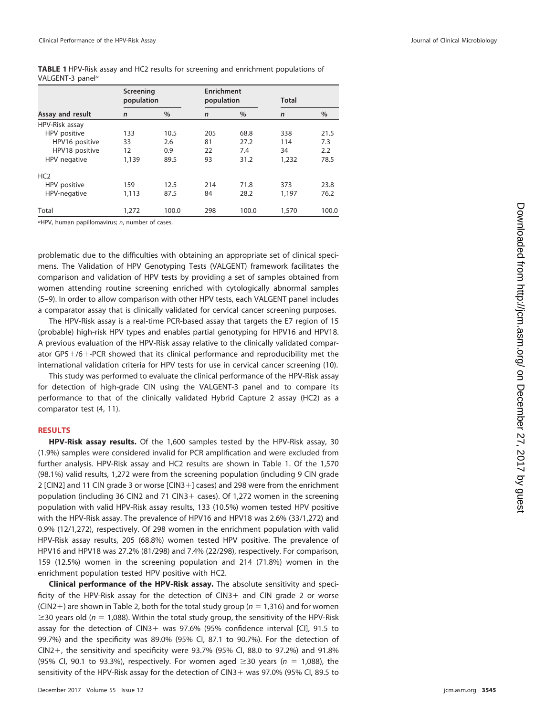<span id="page-1-0"></span>

|                              |  |  |  | <b>TABLE 1</b> HPV-Risk assay and HC2 results for screening and enrichment populations of |  |
|------------------------------|--|--|--|-------------------------------------------------------------------------------------------|--|
| VALGENT-3 panel <sup>a</sup> |  |  |  |                                                                                           |  |

|                  | Screening<br>population |       |              | <b>Enrichment</b><br>population |              | <b>Total</b> |  |
|------------------|-------------------------|-------|--------------|---------------------------------|--------------|--------------|--|
| Assay and result | $\mathsf{n}$            | $\%$  | $\mathsf{n}$ | $\%$                            | $\mathsf{n}$ | $\%$         |  |
| HPV-Risk assay   |                         |       |              |                                 |              |              |  |
| HPV positive     | 133                     | 10.5  | 205          | 68.8                            | 338          | 21.5         |  |
| HPV16 positive   | 33                      | 2.6   | 81           | 27.2                            | 114          | 7.3          |  |
| HPV18 positive   | 12                      | 0.9   | 22           | 7.4                             | 34           | 2.2          |  |
| HPV negative     | 1,139                   | 89.5  | 93           | 31.2                            | 1,232        | 78.5         |  |
| HC <sub>2</sub>  |                         |       |              |                                 |              |              |  |
| HPV positive     | 159                     | 12.5  | 214          | 71.8                            | 373          | 23.8         |  |
| HPV-negative     | 1,113                   | 87.5  | 84           | 28.2                            | 1,197        | 76.2         |  |
| Total            | 1,272                   | 100.0 | 298          | 100.0                           | 1,570        | 100.0        |  |

aHPV, human papillomavirus; n, number of cases.

problematic due to the difficulties with obtaining an appropriate set of clinical specimens. The Validation of HPV Genotyping Tests (VALGENT) framework facilitates the comparison and validation of HPV tests by providing a set of samples obtained from women attending routine screening enriched with cytologically abnormal samples [\(5](#page-6-4)[–](#page-6-5)[9\)](#page-7-0). In order to allow comparison with other HPV tests, each VALGENT panel includes a comparator assay that is clinically validated for cervical cancer screening purposes.

The HPV-Risk assay is a real-time PCR-based assay that targets the E7 region of 15 (probable) high-risk HPV types and enables partial genotyping for HPV16 and HPV18. A previous evaluation of the HPV-Risk assay relative to the clinically validated comparator GP5-/6--PCR showed that its clinical performance and reproducibility met the international validation criteria for HPV tests for use in cervical cancer screening [\(10\)](#page-7-1).

This study was performed to evaluate the clinical performance of the HPV-Risk assay for detection of high-grade CIN using the VALGENT-3 panel and to compare its performance to that of the clinically validated Hybrid Capture 2 assay (HC2) as a comparator test [\(4,](#page-6-3) [11\)](#page-7-2).

#### **RESULTS**

**HPV-Risk assay results.** Of the 1,600 samples tested by the HPV-Risk assay, 30 (1.9%) samples were considered invalid for PCR amplification and were excluded from further analysis. HPV-Risk assay and HC2 results are shown in [Table 1.](#page-1-0) Of the 1,570 (98.1%) valid results, 1,272 were from the screening population (including 9 CIN grade 2 [CIN2] and 11 CIN grade 3 or worse [CIN3-] cases) and 298 were from the enrichment population (including 36 CIN2 and 71 CIN3+ cases). Of 1,272 women in the screening population with valid HPV-Risk assay results, 133 (10.5%) women tested HPV positive with the HPV-Risk assay. The prevalence of HPV16 and HPV18 was 2.6% (33/1,272) and 0.9% (12/1,272), respectively. Of 298 women in the enrichment population with valid HPV-Risk assay results, 205 (68.8%) women tested HPV positive. The prevalence of HPV16 and HPV18 was 27.2% (81/298) and 7.4% (22/298), respectively. For comparison, 159 (12.5%) women in the screening population and 214 (71.8%) women in the enrichment population tested HPV positive with HC2.

**Clinical performance of the HPV-Risk assay.** The absolute sensitivity and specificity of the HPV-Risk assay for the detection of  $C\text{IN}3+$  and  $C\text{IN}$  grade 2 or worse (CIN2 +) are shown in [Table 2,](#page-2-0) both for the total study group ( $n = 1,316$ ) and for women  $\geq$ 30 years old (n = 1,088). Within the total study group, the sensitivity of the HPV-Risk assay for the detection of CIN3+ was 97.6% (95% confidence interval [CI], 91.5 to 99.7%) and the specificity was 89.0% (95% CI, 87.1 to 90.7%). For the detection of CIN2+, the sensitivity and specificity were 93.7% (95% CI, 88.0 to 97.2%) and 91.8% (95% Cl, 90.1 to 93.3%), respectively. For women aged  $\geq$ 30 years (n = 1,088), the sensitivity of the HPV-Risk assay for the detection of CIN3- was 97.0% (95% CI, 89.5 to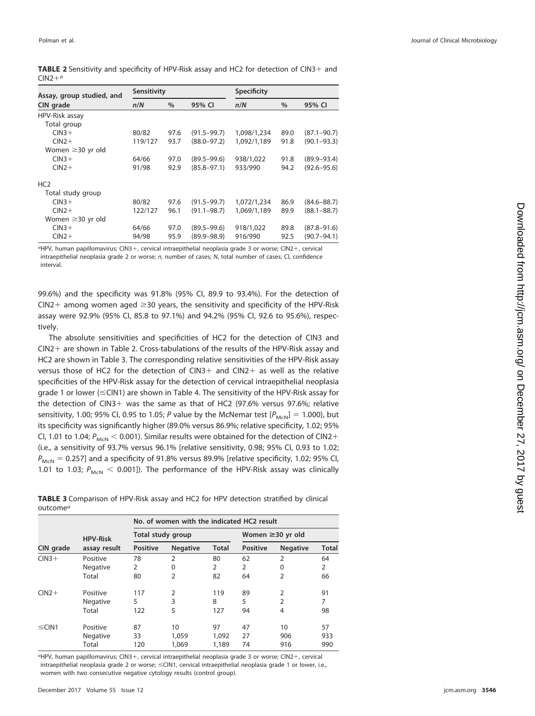<span id="page-2-0"></span>

| TABLE 2 Sensitivity and specificity of HPV-Risk assay and HC2 for detection of CIN3+ and |  |  |  |
|------------------------------------------------------------------------------------------|--|--|--|
| $CIN2+a$                                                                                 |  |  |  |

| Assay, group studied, and | Sensitivity |      |                 | Specificity |      |                 |
|---------------------------|-------------|------|-----------------|-------------|------|-----------------|
| CIN grade                 | n/N         | $\%$ | 95% CI          | n/N         | $\%$ | 95% CI          |
| HPV-Risk assay            |             |      |                 |             |      |                 |
| Total group               |             |      |                 |             |      |                 |
| $CIN3+$                   | 80/82       | 97.6 | $(91.5 - 99.7)$ | 1,098/1,234 | 89.0 | $(87.1 - 90.7)$ |
| $CIN2+$                   | 119/127     | 93.7 | $(88.0 - 97.2)$ | 1,092/1,189 | 91.8 | $(90.1 - 93.3)$ |
| Women $\geq$ 30 yr old    |             |      |                 |             |      |                 |
| $CIN3+$                   | 64/66       | 97.0 | $(89.5 - 99.6)$ | 938/1,022   | 91.8 | $(89.9 - 93.4)$ |
| $CIN2+$                   | 91/98       | 92.9 | $(85.8 - 97.1)$ | 933/990     | 94.2 | $(92.6 - 95.6)$ |
| HC <sub>2</sub>           |             |      |                 |             |      |                 |
| Total study group         |             |      |                 |             |      |                 |
| $CIN3+$                   | 80/82       | 97.6 | $(91.5 - 99.7)$ | 1,072/1,234 | 86.9 | $(84.6 - 88.7)$ |
| $CIN2+$                   | 122/127     | 96.1 | $(91.1 - 98.7)$ | 1,069/1,189 | 89.9 | $(88.1 - 88.7)$ |
| Women $\geq$ 30 yr old    |             |      |                 |             |      |                 |
| $CIN3+$                   | 64/66       | 97.0 | $(89.5 - 99.6)$ | 918/1,022   | 89.8 | $(87.8 - 91.6)$ |
| $CIN2+$                   | 94/98       | 95.9 | $(89.9 - 98.9)$ | 916/990     | 92.5 | $(90.7 - 94.1)$ |

aHPV, human papillomavirus; CIN3-, cervical intraepithelial neoplasia grade 3 or worse; CIN2-, cervical intraepithelial neoplasia grade 2 or worse; n, number of cases; N, total number of cases; CI, confidence interval.

99.6%) and the specificity was 91.8% (95% CI, 89.9 to 93.4%). For the detection of CIN2+ among women aged  $\geq$ 30 years, the sensitivity and specificity of the HPV-Risk assay were 92.9% (95% CI, 85.8 to 97.1%) and 94.2% (95% CI, 92.6 to 95.6%), respectively.

The absolute sensitivities and specificities of HC2 for the detection of CIN3 and CIN2- are shown in [Table 2.](#page-2-0) Cross-tabulations of the results of the HPV-Risk assay and HC2 are shown in [Table 3.](#page-2-1) The corresponding relative sensitivities of the HPV-Risk assay versus those of HC2 for the detection of CIN3+ and CIN2+ as well as the relative specificities of the HPV-Risk assay for the detection of cervical intraepithelial neoplasia grade 1 or lower (≤CIN1) are shown in [Table 4.](#page-3-0) The sensitivity of the HPV-Risk assay for the detection of CIN3- was the same as that of HC2 (97.6% versus 97.6%; relative sensitivity, 1.00; 95% CI, 0.95 to 1.05; P value by the McNemar test  $[P_{McN}] = 1.000$ , but its specificity was significantly higher (89.0% versus 86.9%; relative specificity, 1.02; 95% CI, 1.01 to 1.04;  $P_{\text{McN}}$   $<$  0.001). Similar results were obtained for the detection of CIN2+ (i.e., a sensitivity of 93.7% versus 96.1% [relative sensitivity, 0.98; 95% CI, 0.93 to 1.02;  $P_{\text{McN}} = 0.257$ ] and a specificity of 91.8% versus 89.9% [relative specificity, 1.02; 95% CI, 1.01 to 1.03;  $P_{MCN}$  < 0.001]). The performance of the HPV-Risk assay was clinically

<span id="page-2-1"></span>**TABLE 3** Comparison of HPV-Risk assay and HC2 for HPV detection stratified by clinical outcome $^a$ 

|             |                 | No. of women with the indicated HC2 result |                   |              |                 |                        |              |  |
|-------------|-----------------|--------------------------------------------|-------------------|--------------|-----------------|------------------------|--------------|--|
|             | <b>HPV-Risk</b> |                                            | Total study group |              |                 | Women $\geq$ 30 yr old |              |  |
| CIN grade   | assay result    | <b>Positive</b>                            | <b>Negative</b>   | <b>Total</b> | <b>Positive</b> | <b>Negative</b>        | <b>Total</b> |  |
| $CIN3+$     | Positive        | 78                                         | 2                 | 80           | 62              | $\overline{2}$         | 64           |  |
|             | Negative        | $\overline{2}$                             | $\Omega$          | 2            | $\overline{2}$  | $\Omega$               | 2            |  |
|             | Total           | 80                                         | 2                 | 82           | 64              | 2                      | 66           |  |
| $CIN2+$     | Positive        | 117                                        | $\overline{2}$    | 119          | 89              | $\overline{2}$         | 91           |  |
|             | Negative        | 5                                          | 3                 | 8            | 5               | 2                      |              |  |
|             | Total           | 122                                        | 5                 | 127          | 94              | 4                      | 98           |  |
| $\leq$ CIN1 | Positive        | 87                                         | 10                | 97           | 47              | 10                     | 57           |  |
|             | Negative        | 33                                         | 1,059             | 1,092        | 27              | 906                    | 933          |  |
|             | Total           | 120                                        | 1,069             | 1,189        | 74              | 916                    | 990          |  |

aHPV, human papillomavirus; CIN3-, cervical intraepithelial neoplasia grade 3 or worse; CIN2-, cervical intraepithelial neoplasia grade 2 or worse; ≤ClN1, cervical intraepithelial neoplasia grade 1 or lower, i.e., women with two consecutive negative cytology results (control group).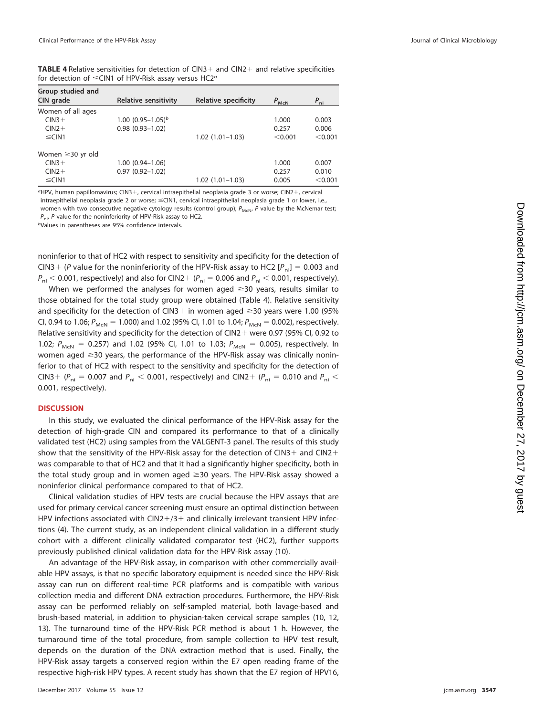<span id="page-3-0"></span>**TABLE 4** Relative sensitivities for detection of CIN3+ and CIN2+ and relative specificities for detection of  $\leq$ CIN1 of HPV-Risk assay versus HC2<sup>a</sup>

| Group studied and      |                             |                      |                  |                 |
|------------------------|-----------------------------|----------------------|------------------|-----------------|
| CIN grade              | <b>Relative sensitivity</b> | Relative specificity | $P_{\text{McN}}$ | $P_{\text{ni}}$ |
| Women of all ages      |                             |                      |                  |                 |
| $CIN3+$                | 1.00 $(0.95 - 1.05)^b$      |                      | 1.000            | 0.003           |
| $CIN2+$                | $0.98(0.93 - 1.02)$         |                      | 0.257            | 0.006           |
| $\leq$ CIN1            |                             | $1.02(1.01-1.03)$    | < 0.001          | < 0.001         |
| Women $\geq$ 30 yr old |                             |                      |                  |                 |
| $CIN3+$                | $1.00(0.94 - 1.06)$         |                      | 1.000            | 0.007           |
| $CIN2+$                | $0.97(0.92 - 1.02)$         |                      | 0.257            | 0.010           |
| $\leq$ CIN1            |                             | $1.02(1.01 - 1.03)$  | 0.005            | < 0.001         |

<sup>a</sup>HPV, human papillomavirus; CIN3+, cervical intraepithelial neoplasia grade 3 or worse; CIN2+, cervical intraepithelial neoplasia grade 2 or worse; ≤CIN1, cervical intraepithelial neoplasia grade 1 or lower, i.e., women with two consecutive negative cytology results (control group);  $P_{McN}$ , P value by the McNemar test;  $P_{\text{ni}}$ , P value for the noninferiority of HPV-Risk assay to HC2.

bValues in parentheses are 95% confidence intervals.

noninferior to that of HC2 with respect to sensitivity and specificity for the detection of CIN3 + (P value for the noninferiority of the HPV-Risk assay to HC2 [ $P_{\text{ni}}$ ] = 0.003 and  $P_{\sf ni}$   $<$  0.001, respectively) and also for CIN2+ ( $P_{\sf ni}$  = 0.006 and  $P_{\sf ni}$   $<$  0.001, respectively).

When we performed the analyses for women aged  $\geq$ 30 years, results similar to those obtained for the total study group were obtained [\(Table 4\)](#page-3-0). Relative sensitivity and specificity for the detection of CIN3+ in women aged  $\geq$ 30 years were 1.00 (95% CI, 0.94 to 1.06;  $P_{MCN} = 1.000$ ) and 1.02 (95% CI, 1.01 to 1.04;  $P_{MCN} = 0.002$ ), respectively. Relative sensitivity and specificity for the detection of  $CIN2 +$  were 0.97 (95% CI, 0.92 to 1.02;  $P_{M\text{cN}} = 0.257$ ) and 1.02 (95% CI, 1.01 to 1.03;  $P_{M\text{cN}} = 0.005$ ), respectively. In women aged  $\geq$ 30 years, the performance of the HPV-Risk assay was clinically noninferior to that of HC2 with respect to the sensitivity and specificity for the detection of CIN3+ ( $P_{ni}$  = 0.007 and  $P_{ni}$  < 0.001, respectively) and CIN2+ ( $P_{ni}$  = 0.010 and  $P_{ni}$  < 0.001, respectively).

## **DISCUSSION**

In this study, we evaluated the clinical performance of the HPV-Risk assay for the detection of high-grade CIN and compared its performance to that of a clinically validated test (HC2) using samples from the VALGENT-3 panel. The results of this study show that the sensitivity of the HPV-Risk assay for the detection of CIN3+ and CIN2+ was comparable to that of HC2 and that it had a significantly higher specificity, both in the total study group and in women aged  $\geq$ 30 years. The HPV-Risk assay showed a noninferior clinical performance compared to that of HC2.

Clinical validation studies of HPV tests are crucial because the HPV assays that are used for primary cervical cancer screening must ensure an optimal distinction between HPV infections associated with  $CIN2+/3+$  and clinically irrelevant transient HPV infections [\(4\)](#page-6-3). The current study, as an independent clinical validation in a different study cohort with a different clinically validated comparator test (HC2), further supports previously published clinical validation data for the HPV-Risk assay [\(10\)](#page-7-1).

An advantage of the HPV-Risk assay, in comparison with other commercially available HPV assays, is that no specific laboratory equipment is needed since the HPV-Risk assay can run on different real-time PCR platforms and is compatible with various collection media and different DNA extraction procedures. Furthermore, the HPV-Risk assay can be performed reliably on self-sampled material, both lavage-based and brush-based material, in addition to physician-taken cervical scrape samples [\(10,](#page-7-1) [12,](#page-7-3) [13\)](#page-7-4). The turnaround time of the HPV-Risk PCR method is about 1 h. However, the turnaround time of the total procedure, from sample collection to HPV test result, depends on the duration of the DNA extraction method that is used. Finally, the HPV-Risk assay targets a conserved region within the E7 open reading frame of the respective high-risk HPV types. A recent study has shown that the E7 region of HPV16,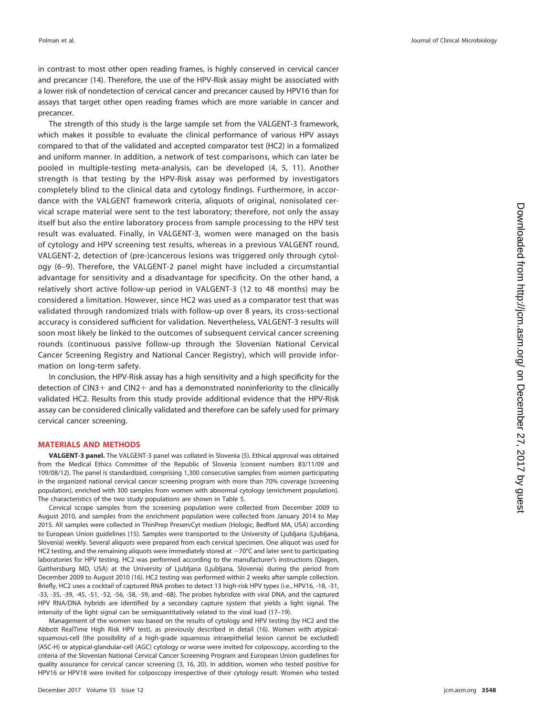in contrast to most other open reading frames, is highly conserved in cervical cancer and precancer [\(14\)](#page-7-5). Therefore, the use of the HPV-Risk assay might be associated with a lower risk of nondetection of cervical cancer and precancer caused by HPV16 than for assays that target other open reading frames which are more variable in cancer and precancer.

The strength of this study is the large sample set from the VALGENT-3 framework, which makes it possible to evaluate the clinical performance of various HPV assays compared to that of the validated and accepted comparator test (HC2) in a formalized and uniform manner. In addition, a network of test comparisons, which can later be pooled in multiple-testing meta-analysis, can be developed [\(4,](#page-6-3) [5,](#page-6-4) [11\)](#page-7-2). Another strength is that testing by the HPV-Risk assay was performed by investigators completely blind to the clinical data and cytology findings. Furthermore, in accordance with the VALGENT framework criteria, aliquots of original, nonisolated cervical scrape material were sent to the test laboratory; therefore, not only the assay itself but also the entire laboratory process from sample processing to the HPV test result was evaluated. Finally, in VALGENT-3, women were managed on the basis of cytology and HPV screening test results, whereas in a previous VALGENT round, VALGENT-2, detection of (pre-)cancerous lesions was triggered only through cytology [\(6](#page-6-6)[–](#page-6-5)[9\)](#page-7-0). Therefore, the VALGENT-2 panel might have included a circumstantial advantage for sensitivity and a disadvantage for specificity. On the other hand, a relatively short active follow-up period in VALGENT-3 (12 to 48 months) may be considered a limitation. However, since HC2 was used as a comparator test that was validated through randomized trials with follow-up over 8 years, its cross-sectional accuracy is considered sufficient for validation. Nevertheless, VALGENT-3 results will soon most likely be linked to the outcomes of subsequent cervical cancer screening rounds (continuous passive follow-up through the Slovenian National Cervical Cancer Screening Registry and National Cancer Registry), which will provide information on long-term safety.

In conclusion, the HPV-Risk assay has a high sensitivity and a high specificity for the detection of CIN3+ and CIN2+ and has a demonstrated noninferiority to the clinically validated HC2. Results from this study provide additional evidence that the HPV-Risk assay can be considered clinically validated and therefore can be safely used for primary cervical cancer screening.

### **MATERIALS AND METHODS**

**VALGENT-3 panel.** The VALGENT-3 panel was collated in Slovenia [\(5\)](#page-6-4). Ethical approval was obtained from the Medical Ethics Committee of the Republic of Slovenia (consent numbers 83/11/09 and 109/08/12). The panel is standardized, comprising 1,300 consecutive samples from women participating in the organized national cervical cancer screening program with more than 70% coverage (screening population), enriched with 300 samples from women with abnormal cytology (enrichment population). The characteristics of the two study populations are shown in [Table 5.](#page-5-0)

Cervical scrape samples from the screening population were collected from December 2009 to August 2010, and samples from the enrichment population were collected from January 2014 to May 2015. All samples were collected in ThinPrep PreservCyt medium (Hologic, Bedford MA, USA) according to European Union guidelines [\(15\)](#page-7-6). Samples were transported to the University of Ljubljana (Ljubljana, Slovenia) weekly. Several aliquots were prepared from each cervical specimen. One aliquot was used for HC2 testing, and the remaining aliquots were immediately stored at  $-70^{\circ}$ C and later sent to participating laboratories for HPV testing. HC2 was performed according to the manufacturer's instructions (Qiagen, Gaithersburg MD, USA) at the University of Ljubljana (Ljubljana, Slovenia) during the period from December 2009 to August 2010 [\(16\)](#page-7-7). HC2 testing was performed within 2 weeks after sample collection. Briefly, HC2 uses a cocktail of captured RNA probes to detect 13 high-risk HPV types (i.e., HPV16, -18, -31, -33, -35, -39, -45, -51, -52, -56, -58, -59, and -68). The probes hybridize with viral DNA, and the captured HPV RNA/DNA hybrids are identified by a secondary capture system that yields a light signal. The intensity of the light signal can be semiquantitatively related to the viral load [\(17](#page-7-8)[–](#page-7-9)[19\)](#page-7-10).

Management of the women was based on the results of cytology and HPV testing (by HC2 and the Abbott RealTime High Risk HPV test), as previously described in detail [\(16\)](#page-7-7). Women with atypicalsquamous-cell (the possibility of a high-grade squamous intraepithelial lesion cannot be excluded) (ASC-H) or atypical-glandular-cell (AGC) cytology or worse were invited for colposcopy, according to the criteria of the Slovenian National Cervical Cancer Screening Program and European Union guidelines for quality assurance for cervical cancer screening [\(3,](#page-6-2) [16,](#page-7-7) [20\)](#page-7-11). In addition, women who tested positive for HPV16 or HPV18 were invited for colposcopy irrespective of their cytology result. Women who tested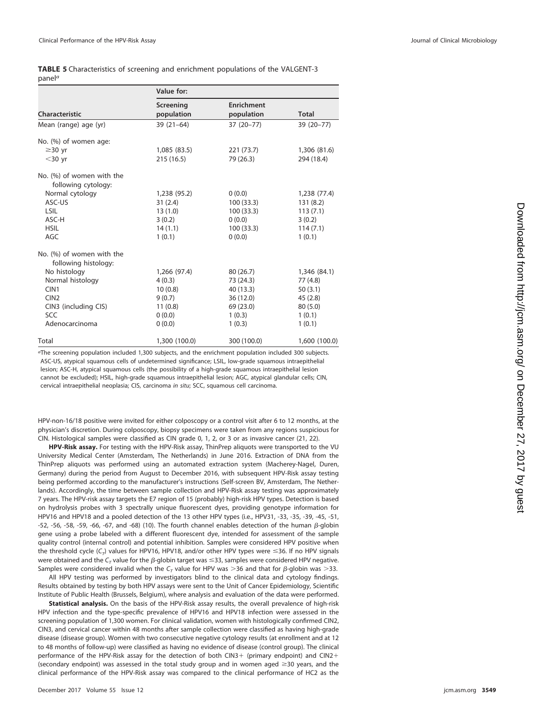<span id="page-5-0"></span>

|                    | <b>TABLE 5</b> Characteristics of screening and enrichment populations of the VALGENT-3 |
|--------------------|-----------------------------------------------------------------------------------------|
| panel <sup>a</sup> |                                                                                         |

|                           | Value for:    |                   |               |
|---------------------------|---------------|-------------------|---------------|
| Characteristic            | Screening     | <b>Enrichment</b> | <b>Total</b>  |
|                           | population    | population        |               |
| Mean (range) age (yr)     | $39(21-64)$   | 37 (20-77)        | 39 (20-77)    |
| No. (%) of women age:     |               |                   |               |
| $\geq$ 30 yr              | 1,085 (83.5)  | 221(73.7)         | 1,306 (81.6)  |
| $<$ 30 yr                 | 215(16.5)     | 79 (26.3)         | 294 (18.4)    |
| No. (%) of women with the |               |                   |               |
| following cytology:       |               |                   |               |
| Normal cytology           | 1,238 (95.2)  | 0(0.0)            | 1,238 (77.4)  |
| ASC-US                    | 31(2.4)       | 100(33.3)         | 131(8.2)      |
| <b>LSIL</b>               | 13(1.0)       | 100(33.3)         | 113(7.1)      |
| ASC-H                     | 3(0.2)        | 0(0.0)            | 3(0.2)        |
| <b>HSIL</b>               | 14(1.1)       | 100(33.3)         | 114(7.1)      |
| AGC                       | 1(0.1)        | 0(0.0)            | 1(0.1)        |
| No. (%) of women with the |               |                   |               |
| following histology:      |               |                   |               |
| No histology              | 1,266 (97.4)  | 80 (26.7)         | 1,346 (84.1)  |
| Normal histology          | 4(0.3)        | 73 (24.3)         | 77 (4.8)      |
| CIN1                      | 10(0.8)       | 40 (13.3)         | 50(3.1)       |
| CIN2                      | 9(0.7)        | 36(12.0)          | 45(2.8)       |
| CIN3 (including CIS)      | 11(0.8)       | 69 (23.0)         | 80(5.0)       |
| <b>SCC</b>                | 0(0.0)        | 1(0.3)            | 1(0.1)        |
| Adenocarcinoma            | 0(0.0)        | 1(0.3)            | 1(0.1)        |
| Total                     | 1,300 (100.0) | 300 (100.0)       | 1,600 (100.0) |

aThe screening population included 1,300 subjects, and the enrichment population included 300 subjects. ASC-US, atypical squamous cells of undetermined significance; LSIL, low-grade squamous intraepithelial lesion; ASC-H, atypical squamous cells (the possibility of a high-grade squamous intraepithelial lesion cannot be excluded); HSIL, high-grade squamous intraepithelial lesion; AGC, atypical glandular cells; CIN, cervical intraepithelial neoplasia; CIS, carcinoma in situ; SCC, squamous cell carcinoma.

HPV-non-16/18 positive were invited for either colposcopy or a control visit after 6 to 12 months, at the physician's discretion. During colposcopy, biopsy specimens were taken from any regions suspicious for CIN. Histological samples were classified as CIN grade 0, 1, 2, or 3 or as invasive cancer [\(21,](#page-7-12) [22\)](#page-7-13).

**HPV-Risk assay.** For testing with the HPV-Risk assay, ThinPrep aliquots were transported to the VU University Medical Center (Amsterdam, The Netherlands) in June 2016. Extraction of DNA from the ThinPrep aliquots was performed using an automated extraction system (Macherey-Nagel, Duren, Germany) during the period from August to December 2016, with subsequent HPV-Risk assay testing being performed according to the manufacturer's instructions (Self-screen BV, Amsterdam, The Netherlands). Accordingly, the time between sample collection and HPV-Risk assay testing was approximately 7 years. The HPV-risk assay targets the E7 region of 15 (probably) high-risk HPV types. Detection is based on hydrolysis probes with 3 spectrally unique fluorescent dyes, providing genotype information for HPV16 and HPV18 and a pooled detection of the 13 other HPV types (i.e., HPV31, -33, -35, -39, -45, -51,  $-52$ ,  $-56$ ,  $-58$ ,  $-59$ ,  $-66$ ,  $-67$ , and  $-68$ ) [\(10\)](#page-7-1). The fourth channel enables detection of the human  $\beta$ -globin gene using a probe labeled with a different fluorescent dye, intended for assessment of the sample quality control (internal control) and potential inhibition. Samples were considered HPV positive when the threshold cycle (C<sub>T</sub>) values for HPV16, HPV18, and/or other HPV types were  $\leq$ 36. If no HPV signals were obtained and the  $\mathsf{C}_{\tau}$  value for the  $\beta$ -globin target was  $\leq$ 33, samples were considered HPV negative. Samples were considered invalid when the  $C_T$  value for HPV was  $>$ 36 and that for  $\beta$ -globin was  $>$ 33.

All HPV testing was performed by investigators blind to the clinical data and cytology findings. Results obtained by testing by both HPV assays were sent to the Unit of Cancer Epidemiology, Scientific Institute of Public Health (Brussels, Belgium), where analysis and evaluation of the data were performed.

**Statistical analysis.** On the basis of the HPV-Risk assay results, the overall prevalence of high-risk HPV infection and the type-specific prevalence of HPV16 and HPV18 infection were assessed in the screening population of 1,300 women. For clinical validation, women with histologically confirmed CIN2, CIN3, and cervical cancer within 48 months after sample collection were classified as having high-grade disease (disease group). Women with two consecutive negative cytology results (at enrollment and at 12 to 48 months of follow-up) were classified as having no evidence of disease (control group). The clinical performance of the HPV-Risk assay for the detection of both CIN3+ (primary endpoint) and CIN2+ (secondary endpoint) was assessed in the total study group and in women aged  $\geq$ 30 years, and the clinical performance of the HPV-Risk assay was compared to the clinical performance of HC2 as the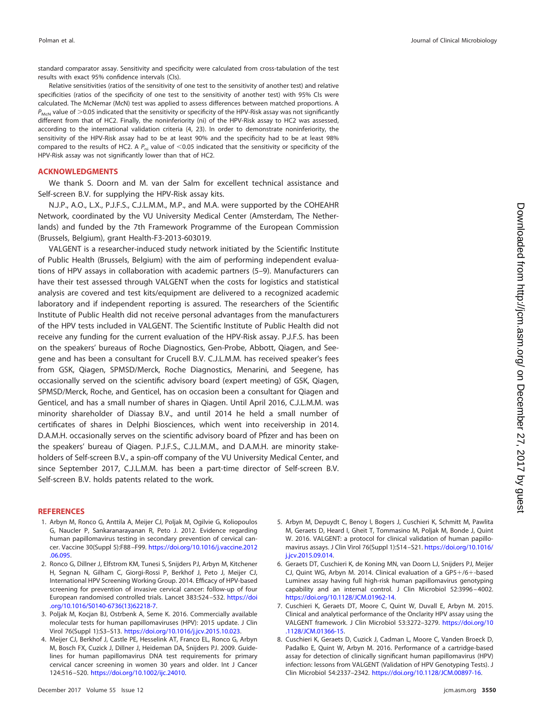standard comparator assay. Sensitivity and specificity were calculated from cross-tabulation of the test results with exact 95% confidence intervals (CIs).

Relative sensitivities (ratios of the sensitivity of one test to the sensitivity of another test) and relative specificities (ratios of the specificity of one test to the sensitivity of another test) with 95% CIs were calculated. The McNemar (McN) test was applied to assess differences between matched proportions. A  $P_{McN}$  value of  $>$ 0.05 indicated that the sensitivity or specificity of the HPV-Risk assay was not significantly different from that of HC2. Finally, the noninferiority (ni) of the HPV-Risk assay to HC2 was assessed, according to the international validation criteria [\(4,](#page-6-3) [23\)](#page-7-14). In order to demonstrate noninferiority, the sensitivity of the HPV-Risk assay had to be at least 90% and the specificity had to be at least 98% compared to the results of HC2. A  $P_{ni}$  value of <0.05 indicated that the sensitivity or specificity of the HPV-Risk assay was not significantly lower than that of HC2.

#### **ACKNOWLEDGMENTS**

We thank S. Doorn and M. van der Salm for excellent technical assistance and Self-screen B.V. for supplying the HPV-Risk assay kits.

N.J.P., A.O., L.X., P.J.F.S., C.J.L.M.M., M.P., and M.A. were supported by the COHEAHR Network, coordinated by the VU University Medical Center (Amsterdam, The Netherlands) and funded by the 7th Framework Programme of the European Commission (Brussels, Belgium), grant Health-F3-2013-603019.

VALGENT is a researcher-induced study network initiated by the Scientific Institute of Public Health (Brussels, Belgium) with the aim of performing independent evaluations of HPV assays in collaboration with academic partners [\(5](#page-6-4)[–](#page-6-5)[9\)](#page-7-0). Manufacturers can have their test assessed through VALGENT when the costs for logistics and statistical analysis are covered and test kits/equipment are delivered to a recognized academic laboratory and if independent reporting is assured. The researchers of the Scientific Institute of Public Health did not receive personal advantages from the manufacturers of the HPV tests included in VALGENT. The Scientific Institute of Public Health did not receive any funding for the current evaluation of the HPV-Risk assay. P.J.F.S. has been on the speakers' bureaus of Roche Diagnostics, Gen-Probe, Abbott, Qiagen, and Seegene and has been a consultant for Crucell B.V. C.J.L.M.M. has received speaker's fees from GSK, Qiagen, SPMSD/Merck, Roche Diagnostics, Menarini, and Seegene, has occasionally served on the scientific advisory board (expert meeting) of GSK, Qiagen, SPMSD/Merck, Roche, and Genticel, has on occasion been a consultant for Qiagen and Genticel, and has a small number of shares in Qiagen. Until April 2016, C.J.L.M.M. was minority shareholder of Diassay B.V., and until 2014 he held a small number of certificates of shares in Delphi Biosciences, which went into receivership in 2014. D.A.M.H. occasionally serves on the scientific advisory board of Pfizer and has been on the speakers' bureau of Qiagen. P.J.F.S., C.J.L.M.M., and D.A.M.H. are minority stakeholders of Self-screen B.V., a spin-off company of the VU University Medical Center, and since September 2017, C.J.L.M.M. has been a part-time director of Self-screen B.V. Self-screen B.V. holds patents related to the work.

#### <span id="page-6-0"></span>**REFERENCES**

- 1. Arbyn M, Ronco G, Anttila A, Meijer CJ, Poljak M, Ogilvie G, Koliopoulos G, Naucler P, Sankaranarayanan R, Peto J. 2012. Evidence regarding human papillomavirus testing in secondary prevention of cervical cancer. Vaccine 30(Suppl 5):F88 –F99. [https://doi.org/10.1016/j.vaccine.2012](https://doi.org/10.1016/j.vaccine.2012.06.095) [.06.095.](https://doi.org/10.1016/j.vaccine.2012.06.095)
- <span id="page-6-1"></span>2. Ronco G, Dillner J, Elfstrom KM, Tunesi S, Snijders PJ, Arbyn M, Kitchener H, Segnan N, Gilham C, Giorgi-Rossi P, Berkhof J, Peto J, Meijer CJ, International HPV Screening Working Group. 2014. Efficacy of HPV-based screening for prevention of invasive cervical cancer: follow-up of four European randomised controlled trials. Lancet 383:524 –532. [https://doi](https://doi.org/10.1016/S0140-6736(13)62218-7) [.org/10.1016/S0140-6736\(13\)62218-7.](https://doi.org/10.1016/S0140-6736(13)62218-7)
- <span id="page-6-3"></span><span id="page-6-2"></span>3. Poljak M, Kocjan BJ, Ostrbenk A, Seme K. 2016. Commercially available molecular tests for human papillomaviruses (HPV): 2015 update. J Clin Virol 76(Suppl 1):S3–S13. [https://doi.org/10.1016/j.jcv.2015.10.023.](https://doi.org/10.1016/j.jcv.2015.10.023)
- 4. Meijer CJ, Berkhof J, Castle PE, Hesselink AT, Franco EL, Ronco G, Arbyn M, Bosch FX, Cuzick J, Dillner J, Heideman DA, Snijders PJ. 2009. Guidelines for human papillomavirus DNA test requirements for primary cervical cancer screening in women 30 years and older. Int J Cancer 124:516 –520. [https://doi.org/10.1002/ijc.24010.](https://doi.org/10.1002/ijc.24010)
- <span id="page-6-4"></span>5. Arbyn M, Depuydt C, Benoy I, Bogers J, Cuschieri K, Schmitt M, Pawlita M, Geraets D, Heard I, Gheit T, Tommasino M, Poljak M, Bonde J, Quint W. 2016. VALGENT: a protocol for clinical validation of human papillomavirus assays. J Clin Virol 76(Suppl 1):S14 –S21. [https://doi.org/10.1016/](https://doi.org/10.1016/j.jcv.2015.09.014) [j.jcv.2015.09.014.](https://doi.org/10.1016/j.jcv.2015.09.014)
- <span id="page-6-6"></span>6. Geraets DT, Cuschieri K, de Koning MN, van Doorn LJ, Snijders PJ, Meijer CJ, Quint WG, Arbyn M. 2014. Clinical evaluation of a GP5+/6+-based Luminex assay having full high-risk human papillomavirus genotyping capability and an internal control. J Clin Microbiol 52:3996 – 4002. [https://doi.org/10.1128/JCM.01962-14.](https://doi.org/10.1128/JCM.01962-14)
- 7. Cuschieri K, Geraets DT, Moore C, Quint W, Duvall E, Arbyn M. 2015. Clinical and analytical performance of the Onclarity HPV assay using the VALGENT framework. J Clin Microbiol 53:3272–3279. [https://doi.org/10](https://doi.org/10.1128/JCM.01366-15) [.1128/JCM.01366-15.](https://doi.org/10.1128/JCM.01366-15)
- <span id="page-6-5"></span>8. Cuschieri K, Geraets D, Cuzick J, Cadman L, Moore C, Vanden Broeck D, Padalko E, Quint W, Arbyn M. 2016. Performance of a cartridge-based assay for detection of clinically significant human papillomavirus (HPV) infection: lessons from VALGENT (Validation of HPV Genotyping Tests). J Clin Microbiol 54:2337–2342. [https://doi.org/10.1128/JCM.00897-16.](https://doi.org/10.1128/JCM.00897-16)